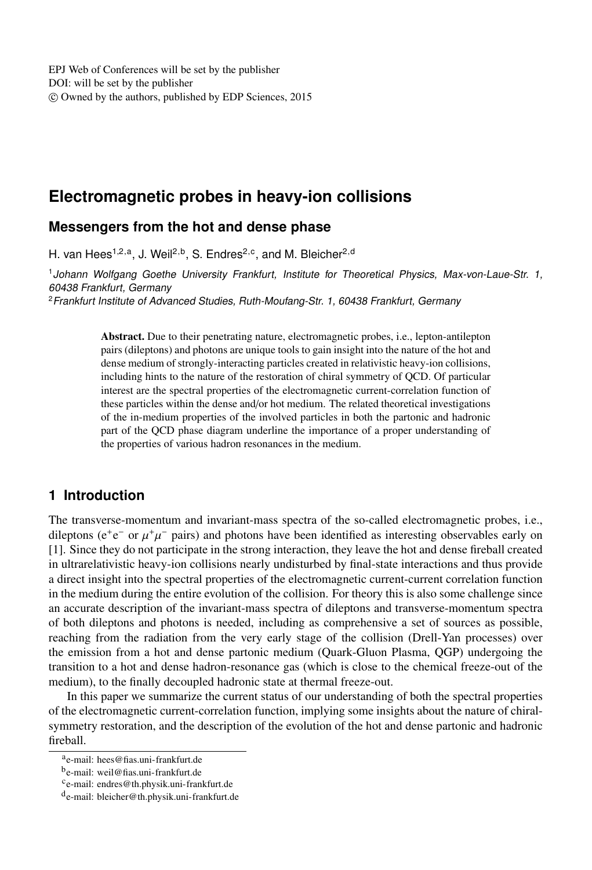# **Electromagnetic probes in heavy-ion collisions**

## **Messengers from the hot and dense phase**

H. van Hees<sup>1,2,a</sup>, J. Weil<sup>2,b</sup>, S. Endres<sup>2,c</sup>, and M. Bleicher<sup>2,d</sup>

1 Johann Wolfgang Goethe University Frankfurt, Institute for Theoretical Physics, Max-von-Laue-Str. 1, 60438 Frankfurt, Germany

 $2$ Frankfurt Institute of Advanced Studies, Ruth-Moufang-Str. 1, 60438 Frankfurt, Germany

Abstract. Due to their penetrating nature, electromagnetic probes, i.e., lepton-antilepton pairs (dileptons) and photons are unique tools to gain insight into the nature of the hot and dense medium of strongly-interacting particles created in relativistic heavy-ion collisions, including hints to the nature of the restoration of chiral symmetry of QCD. Of particular interest are the spectral properties of the electromagnetic current-correlation function of these particles within the dense and/or hot medium. The related theoretical investigations of the in-medium properties of the involved particles in both the partonic and hadronic part of the QCD phase diagram underline the importance of a proper understanding of the properties of various hadron resonances in the medium.

## **1 Introduction**

The transverse-momentum and invariant-mass spectra of the so-called electromagnetic probes, i.e., dileptons (e<sup>+</sup>e<sup>-</sup> or  $\mu^+\mu^-$  pairs) and photons have been identified as interesting observables early on  $\mu$  and  $\mu$  and  $\mu$  and  $\mu$  and  $\mu$  and  $\mu$  and  $\mu$  and  $\mu$  and  $\mu$  and  $\mu$  and  $\mu$  and  $\mu$  and  $\mu$  [1]. Since they do not participate in the strong interaction, they leave the hot and dense fireball created in ultrarelativistic heavy-ion collisions nearly undisturbed by final-state interactions and thus provide a direct insight into the spectral properties of the electromagnetic current-current correlation function in the medium during the entire evolution of the collision. For theory this is also some challenge since an accurate description of the invariant-mass spectra of dileptons and transverse-momentum spectra of both dileptons and photons is needed, including as comprehensive a set of sources as possible, reaching from the radiation from the very early stage of the collision (Drell-Yan processes) over the emission from a hot and dense partonic medium (Quark-Gluon Plasma, QGP) undergoing the transition to a hot and dense hadron-resonance gas (which is close to the chemical freeze-out of the medium), to the finally decoupled hadronic state at thermal freeze-out.

In this paper we summarize the current status of our understanding of both the spectral properties of the electromagnetic current-correlation function, implying some insights about the nature of chiralsymmetry restoration, and the description of the evolution of the hot and dense partonic and hadronic fireball.

a e-mail: hees@fias.uni-frankfurt.de

<sup>&</sup>lt;sup>b</sup>e-mail: weil@fias.uni-frankfurt.de

c e-mail: endres@th.physik.uni-frankfurt.de

d e-mail: bleicher@th.physik.uni-frankfurt.de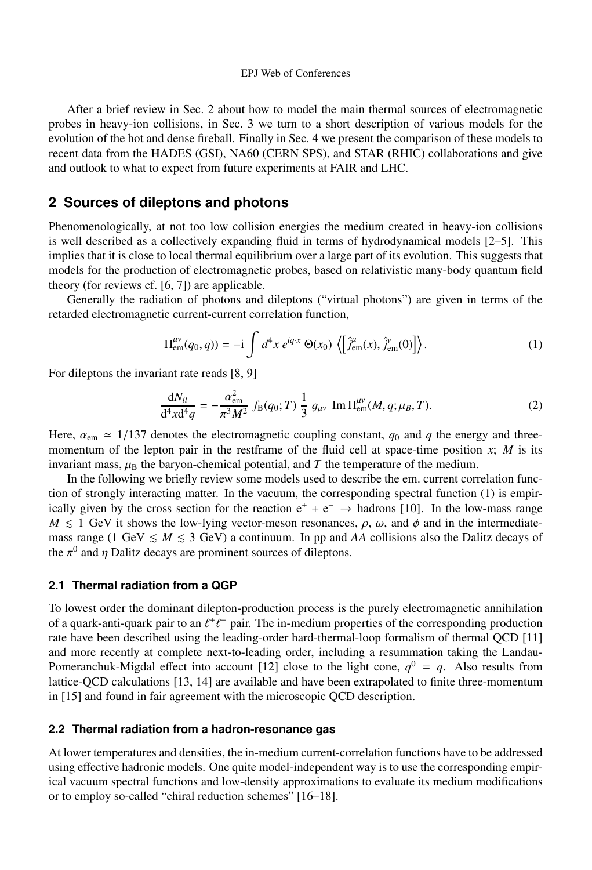After a brief review in Sec. 2 about how to model the main thermal sources of electromagnetic probes in heavy-ion collisions, in Sec. 3 we turn to a short description of various models for the evolution of the hot and dense fireball. Finally in Sec. 4 we present the comparison of these models to recent data from the HADES (GSI), NA60 (CERN SPS), and STAR (RHIC) collaborations and give and outlook to what to expect from future experiments at FAIR and LHC.

## **2 Sources of dileptons and photons**

Phenomenologically, at not too low collision energies the medium created in heavy-ion collisions is well described as a collectively expanding fluid in terms of hydrodynamical models [2–5]. This implies that it is close to local thermal equilibrium over a large part of its evolution. This suggests that models for the production of electromagnetic probes, based on relativistic many-body quantum field theory (for reviews cf. [6, 7]) are applicable.

Generally the radiation of photons and dileptons ("virtual photons") are given in terms of the retarded electromagnetic current-current correlation function,

$$
\Pi_{em}^{\mu\nu}(q_0, q)) = -i \int d^4x \, e^{iq \cdot x} \, \Theta(x_0) \left\langle \left[ \hat{j}_{em}^{\mu}(x), \hat{j}_{em}^{\nu}(0) \right] \right\rangle. \tag{1}
$$

For dileptons the invariant rate reads [8, 9]

$$
\frac{dN_{ll}}{d^4x d^4q} = -\frac{\alpha_{em}^2}{\pi^3 M^2} f_B(q_0; T) \frac{1}{3} g_{\mu\nu} Im \Pi_{em}^{\mu\nu}(M, q; \mu_B, T). \tag{2}
$$

Here,  $\alpha_{\text{em}} \simeq 1/137$  denotes the electromagnetic coupling constant,  $q_0$  and q the energy and threemomentum of the lepton pair in the restframe of the fluid cell at space-time position *x*; *M* is its invariant mass,  $\mu_B$  the baryon-chemical potential, and  $T$  the temperature of the medium.

In the following we briefly review some models used to describe the em. current correlation function of strongly interacting matter. In the vacuum, the corresponding spectral function (1) is empirically given by the cross section for the reaction  $e^+ + e^- \rightarrow$  hadrons [10]. In the low-mass range  $M \leq 1$  GeV it shows the low-lying vector-meson resonances,  $\rho$ ,  $\omega$ , and  $\phi$  and in the intermediatemass range (1 GeV  $\leq M \leq 3$  GeV) a continuum. In pp and AA collisions also the Dalitz decays of the  $\pi^0$  and  $\eta$  Dalitz decays are prominent sources of dileptons.

#### **2.1 Thermal radiation from a QGP**

To lowest order the dominant dilepton-production process is the purely electromagnetic annihilation of a quark-anti-quark pair to an  $\ell^+\ell^-$  pair. The in-medium properties of the corresponding production<br>rate have been described using the leading-order hard-thermal-loop formalism of thermal OCD [111] rate have been described using the leading-order hard-thermal-loop formalism of thermal QCD [11] and more recently at complete next-to-leading order, including a resummation taking the Landau-Pomeranchuk-Migdal effect into account [12] close to the light cone,  $q^0 = q$ . Also results from lattice-QCD calculations [13, 14] are available and have been extrapolated to finite three-momentum in [15] and found in fair agreement with the microscopic QCD description.

#### **2.2 Thermal radiation from a hadron-resonance gas**

At lower temperatures and densities, the in-medium current-correlation functions have to be addressed using effective hadronic models. One quite model-independent way is to use the corresponding empirical vacuum spectral functions and low-density approximations to evaluate its medium modifications or to employ so-called "chiral reduction schemes" [16–18].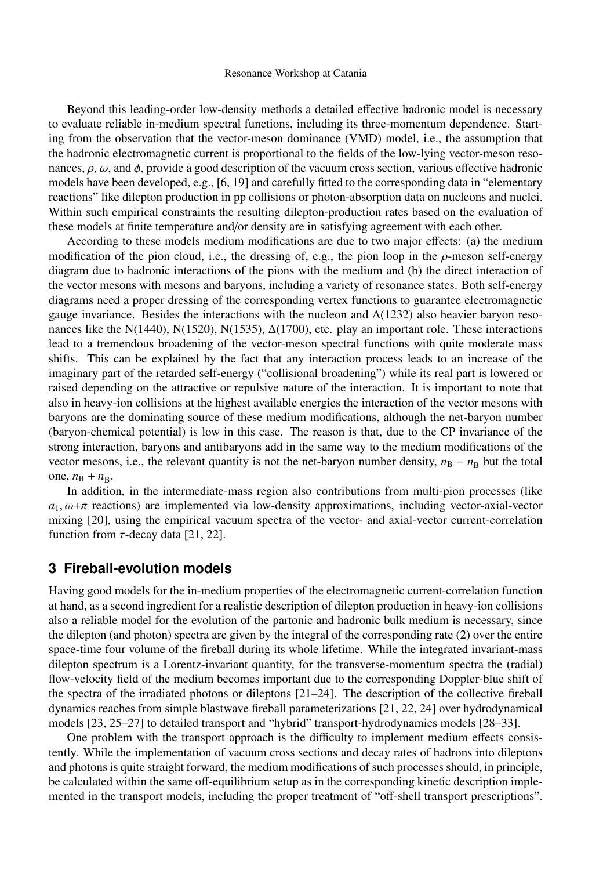#### Resonance Workshop at Catania

Beyond this leading-order low-density methods a detailed effective hadronic model is necessary to evaluate reliable in-medium spectral functions, including its three-momentum dependence. Starting from the observation that the vector-meson dominance (VMD) model, i.e., the assumption that the hadronic electromagnetic current is proportional to the fields of the low-lying vector-meson resonances,  $\rho$ ,  $\omega$ , and  $\phi$ , provide a good description of the vacuum cross section, various effective hadronic models have been developed, e.g., [6, 19] and carefully fitted to the corresponding data in "elementary reactions" like dilepton production in pp collisions or photon-absorption data on nucleons and nuclei. Within such empirical constraints the resulting dilepton-production rates based on the evaluation of these models at finite temperature and/or density are in satisfying agreement with each other.

According to these models medium modifications are due to two major effects: (a) the medium modification of the pion cloud, i.e., the dressing of, e.g., the pion loop in the  $\rho$ -meson self-energy diagram due to hadronic interactions of the pions with the medium and (b) the direct interaction of the vector mesons with mesons and baryons, including a variety of resonance states. Both self-energy diagrams need a proper dressing of the corresponding vertex functions to guarantee electromagnetic gauge invariance. Besides the interactions with the nucleon and ∆(1232) also heavier baryon resonances like the N(1440), N(1520), N(1535),  $\Delta(1700)$ , etc. play an important role. These interactions lead to a tremendous broadening of the vector-meson spectral functions with quite moderate mass shifts. This can be explained by the fact that any interaction process leads to an increase of the imaginary part of the retarded self-energy ("collisional broadening") while its real part is lowered or raised depending on the attractive or repulsive nature of the interaction. It is important to note that also in heavy-ion collisions at the highest available energies the interaction of the vector mesons with baryons are the dominating source of these medium modifications, although the net-baryon number (baryon-chemical potential) is low in this case. The reason is that, due to the CP invariance of the strong interaction, baryons and antibaryons add in the same way to the medium modifications of the vector mesons, i.e., the relevant quantity is not the net-baryon number density,  $n_B - n_{\bar{B}}$  but the total one,  $n_{\rm B} + n_{\rm B}$ .

In addition, in the intermediate-mass region also contributions from multi-pion processes (like  $a_1, \omega + \pi$  reactions) are implemented via low-density approximations, including vector-axial-vector mixing [20], using the empirical vacuum spectra of the vector- and axial-vector current-correlation function from  $\tau$ -decay data [21, 22].

## **3 Fireball-evolution models**

Having good models for the in-medium properties of the electromagnetic current-correlation function at hand, as a second ingredient for a realistic description of dilepton production in heavy-ion collisions also a reliable model for the evolution of the partonic and hadronic bulk medium is necessary, since the dilepton (and photon) spectra are given by the integral of the corresponding rate (2) over the entire space-time four volume of the fireball during its whole lifetime. While the integrated invariant-mass dilepton spectrum is a Lorentz-invariant quantity, for the transverse-momentum spectra the (radial) flow-velocity field of the medium becomes important due to the corresponding Doppler-blue shift of the spectra of the irradiated photons or dileptons [21–24]. The description of the collective fireball dynamics reaches from simple blastwave fireball parameterizations [21, 22, 24] over hydrodynamical models [23, 25–27] to detailed transport and "hybrid" transport-hydrodynamics models [28–33].

One problem with the transport approach is the difficulty to implement medium effects consistently. While the implementation of vacuum cross sections and decay rates of hadrons into dileptons and photons is quite straight forward, the medium modifications of such processes should, in principle, be calculated within the same off-equilibrium setup as in the corresponding kinetic description implemented in the transport models, including the proper treatment of "off-shell transport prescriptions".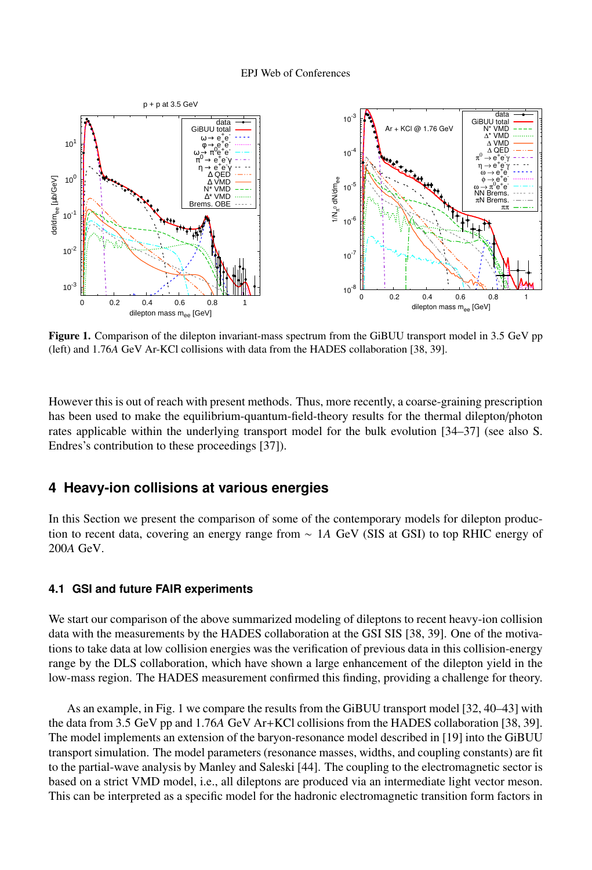

Figure 1. Comparison of the dilepton invariant-mass spectrum from the GiBUU transport model in 3.5 GeV pp (left) and 1.76*<sup>A</sup>* GeV Ar-KCl collisions with data from the HADES collaboration [38, 39].

However this is out of reach with present methods. Thus, more recently, a coarse-graining prescription has been used to make the equilibrium-quantum-field-theory results for the thermal dilepton/photon rates applicable within the underlying transport model for the bulk evolution [34–37] (see also S. Endres's contribution to these proceedings [37]).

### **4 Heavy-ion collisions at various energies**

In this Section we present the comparison of some of the contemporary models for dilepton production to recent data, covering an energy range from ∼ 1*A* GeV (SIS at GSI) to top RHIC energy of 200*A* GeV.

#### **4.1 GSI and future FAIR experiments**

We start our comparison of the above summarized modeling of dileptons to recent heavy-ion collision data with the measurements by the HADES collaboration at the GSI SIS [38, 39]. One of the motivations to take data at low collision energies was the verification of previous data in this collision-energy range by the DLS collaboration, which have shown a large enhancement of the dilepton yield in the low-mass region. The HADES measurement confirmed this finding, providing a challenge for theory.

As an example, in Fig. 1 we compare the results from the GiBUU transport model [32, 40–43] with the data from 3.5 GeV pp and 1.76*<sup>A</sup>* GeV Ar+KCl collisions from the HADES collaboration [38, 39]. The model implements an extension of the baryon-resonance model described in [19] into the GiBUU transport simulation. The model parameters (resonance masses, widths, and coupling constants) are fit to the partial-wave analysis by Manley and Saleski [44]. The coupling to the electromagnetic sector is based on a strict VMD model, i.e., all dileptons are produced via an intermediate light vector meson. This can be interpreted as a specific model for the hadronic electromagnetic transition form factors in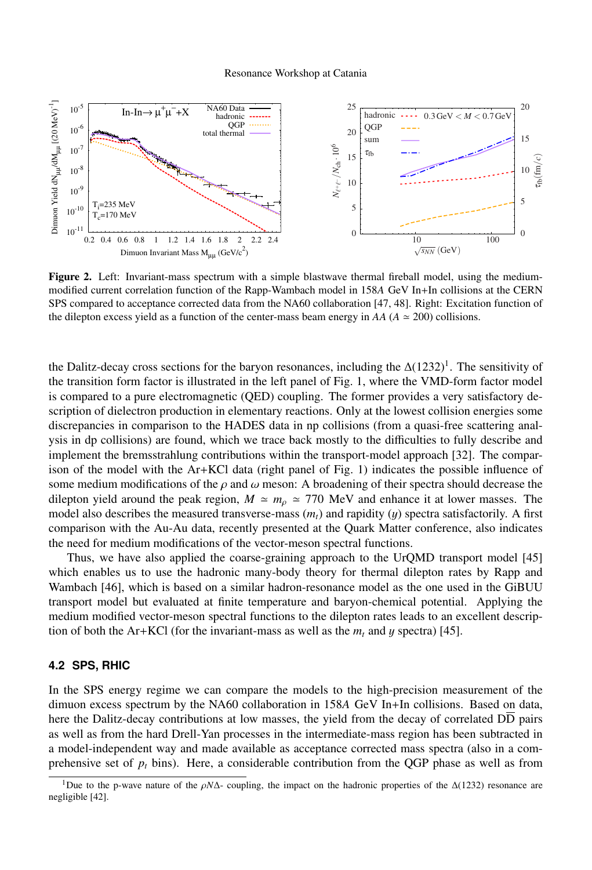

Figure 2. Left: Invariant-mass spectrum with a simple blastwave thermal fireball model, using the mediummodified current correlation function of the Rapp-Wambach model in 158*A* GeV In+In collisions at the CERN SPS compared to acceptance corrected data from the NA60 collaboration [47, 48]. Right: Excitation function of the dilepton excess yield as a function of the center-mass beam energy in  $AA$  ( $A \approx 200$ ) collisions.

the Dalitz-decay cross sections for the baryon resonances, including the  $\Delta(1232)^{1}$ . The sensitivity of the transition form factor is illustrated in the left panel of Fig. 1, where the VMD-form factor model is compared to a pure electromagnetic (QED) coupling. The former provides a very satisfactory description of dielectron production in elementary reactions. Only at the lowest collision energies some discrepancies in comparison to the HADES data in np collisions (from a quasi-free scattering analysis in dp collisions) are found, which we trace back mostly to the difficulties to fully describe and implement the bremsstrahlung contributions within the transport-model approach [32]. The comparison of the model with the Ar+KCl data (right panel of Fig. 1) indicates the possible influence of some medium modifications of the  $\rho$  and  $\omega$  meson: A broadening of their spectra should decrease the dilepton yield around the peak region,  $M \approx m_0 \approx 770$  MeV and enhance it at lower masses. The model also describes the measured transverse-mass  $(m_t)$  and rapidity  $(y)$  spectra satisfactorily. A first comparison with the Au-Au data, recently presented at the Quark Matter conference, also indicates the need for medium modifications of the vector-meson spectral functions.

Thus, we have also applied the coarse-graining approach to the UrQMD transport model [45] which enables us to use the hadronic many-body theory for thermal dilepton rates by Rapp and Wambach [46], which is based on a similar hadron-resonance model as the one used in the GiBUU transport model but evaluated at finite temperature and baryon-chemical potential. Applying the medium modified vector-meson spectral functions to the dilepton rates leads to an excellent description of both the Ar+KCl (for the invariant-mass as well as the  $m_t$  and y spectra) [45].

#### **4.2 SPS, RHIC**

In the SPS energy regime we can compare the models to the high-precision measurement of the dimuon excess spectrum by the NA60 collaboration in 158*A* GeV In+In collisions. Based on data, here the Dalitz-decay contributions at low masses, the yield from the decay of correlated  $\overline{DD}$  pairs as well as from the hard Drell-Yan processes in the intermediate-mass region has been subtracted in a model-independent way and made available as acceptance corrected mass spectra (also in a comprehensive set of  $p<sub>t</sub>$  bins). Here, a considerable contribution from the QGP phase as well as from

<sup>1</sup>Due to the p-wave nature of the ρ*N*∆- coupling, the impact on the hadronic properties of the <sup>∆</sup>(1232) resonance are negligible [42].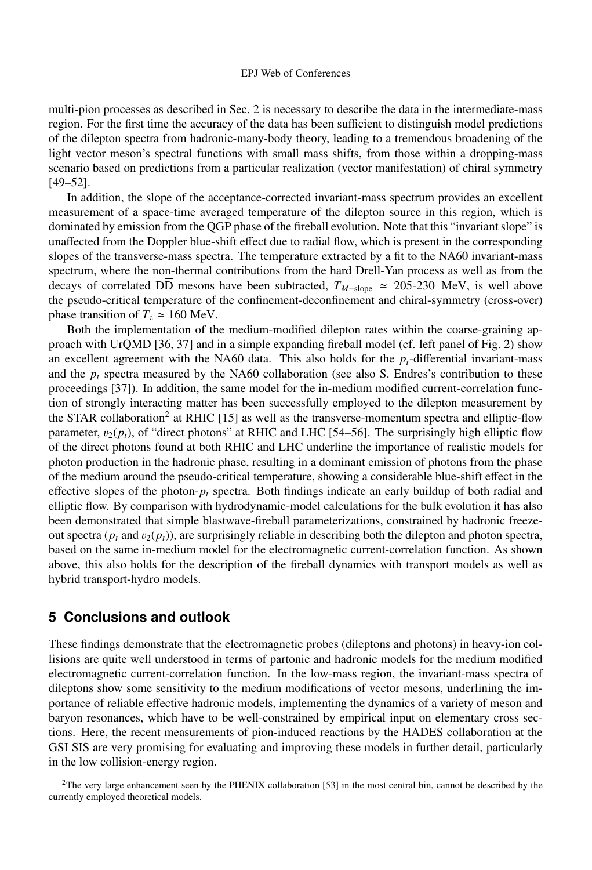multi-pion processes as described in Sec. 2 is necessary to describe the data in the intermediate-mass region. For the first time the accuracy of the data has been sufficient to distinguish model predictions of the dilepton spectra from hadronic-many-body theory, leading to a tremendous broadening of the light vector meson's spectral functions with small mass shifts, from those within a dropping-mass scenario based on predictions from a particular realization (vector manifestation) of chiral symmetry [49–52].

In addition, the slope of the acceptance-corrected invariant-mass spectrum provides an excellent measurement of a space-time averaged temperature of the dilepton source in this region, which is dominated by emission from the QGP phase of the fireball evolution. Note that this "invariant slope" is unaffected from the Doppler blue-shift effect due to radial flow, which is present in the corresponding slopes of the transverse-mass spectra. The temperature extracted by a fit to the NA60 invariant-mass spectrum, where the non-thermal contributions from the hard Drell-Yan process as well as from the decays of correlated DD mesons have been subtracted,  $T_{M-\text{slope}} \approx 205$ -230 MeV, is well above the pseudo-critical temperature of the confinement-deconfinement and chiral-symmetry (cross-over) phase transition of  $T_c \approx 160$  MeV.

Both the implementation of the medium-modified dilepton rates within the coarse-graining approach with UrQMD [36, 37] and in a simple expanding fireball model (cf. left panel of Fig. 2) show an excellent agreement with the NA60 data. This also holds for the  $p_t$ -differential invariant-mass and the  $p_t$  spectra measured by the NA60 collaboration (see also S. Endres's contribution to these proceedings [37]). In addition, the same model for the in-medium modified current-correlation function of strongly interacting matter has been successfully employed to the dilepton measurement by the STAR collaboration<sup>2</sup> at RHIC [15] as well as the transverse-momentum spectra and elliptic-flow parameter,  $v_2(p_t)$ , of "direct photons" at RHIC and LHC [54–56]. The surprisingly high elliptic flow of the direct photons found at both RHIC and LHC underline the importance of realistic models for photon production in the hadronic phase, resulting in a dominant emission of photons from the phase of the medium around the pseudo-critical temperature, showing a considerable blue-shift effect in the effective slopes of the photon- $p_t$  spectra. Both findings indicate an early buildup of both radial and elliptic flow. By comparison with hydrodynamic-model calculations for the bulk evolution it has also been demonstrated that simple blastwave-fireball parameterizations, constrained by hadronic freezeout spectra  $(p_t$  and  $v_2(p_t)$ ), are surprisingly reliable in describing both the dilepton and photon spectra, based on the same in-medium model for the electromagnetic current-correlation function. As shown above, this also holds for the description of the fireball dynamics with transport models as well as hybrid transport-hydro models.

## **5 Conclusions and outlook**

These findings demonstrate that the electromagnetic probes (dileptons and photons) in heavy-ion collisions are quite well understood in terms of partonic and hadronic models for the medium modified electromagnetic current-correlation function. In the low-mass region, the invariant-mass spectra of dileptons show some sensitivity to the medium modifications of vector mesons, underlining the importance of reliable effective hadronic models, implementing the dynamics of a variety of meson and baryon resonances, which have to be well-constrained by empirical input on elementary cross sections. Here, the recent measurements of pion-induced reactions by the HADES collaboration at the GSI SIS are very promising for evaluating and improving these models in further detail, particularly in the low collision-energy region.

 $2$ The very large enhancement seen by the PHENIX collaboration [53] in the most central bin, cannot be described by the currently employed theoretical models.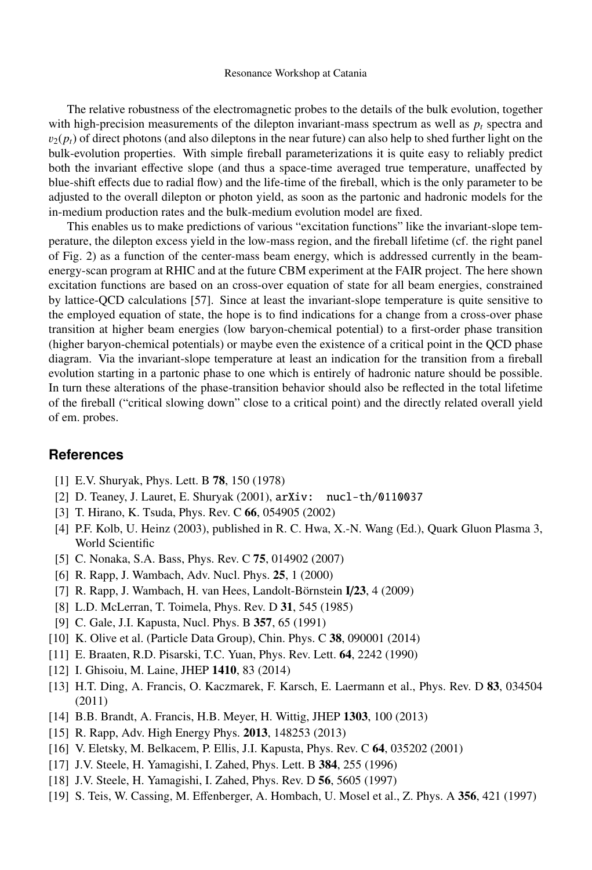#### Resonance Workshop at Catania

The relative robustness of the electromagnetic probes to the details of the bulk evolution, together with high-precision measurements of the dilepton invariant-mass spectrum as well as  $p_t$  spectra and  $v_2(p_t)$  of direct photons (and also dileptons in the near future) can also help to shed further light on the bulk-evolution properties. With simple fireball parameterizations it is quite easy to reliably predict both the invariant effective slope (and thus a space-time averaged true temperature, unaffected by blue-shift effects due to radial flow) and the life-time of the fireball, which is the only parameter to be adjusted to the overall dilepton or photon yield, as soon as the partonic and hadronic models for the in-medium production rates and the bulk-medium evolution model are fixed.

This enables us to make predictions of various "excitation functions" like the invariant-slope temperature, the dilepton excess yield in the low-mass region, and the fireball lifetime (cf. the right panel of Fig. 2) as a function of the center-mass beam energy, which is addressed currently in the beamenergy-scan program at RHIC and at the future CBM experiment at the FAIR project. The here shown excitation functions are based on an cross-over equation of state for all beam energies, constrained by lattice-QCD calculations [57]. Since at least the invariant-slope temperature is quite sensitive to the employed equation of state, the hope is to find indications for a change from a cross-over phase transition at higher beam energies (low baryon-chemical potential) to a first-order phase transition (higher baryon-chemical potentials) or maybe even the existence of a critical point in the QCD phase diagram. Via the invariant-slope temperature at least an indication for the transition from a fireball evolution starting in a partonic phase to one which is entirely of hadronic nature should be possible. In turn these alterations of the phase-transition behavior should also be reflected in the total lifetime of the fireball ("critical slowing down" close to a critical point) and the directly related overall yield of em. probes.

### **References**

- [1] E.V. Shuryak, Phys. Lett. B 78, 150 (1978)
- [2] D. Teaney, J. Lauret, E. Shuryak (2001), arXiv: nucl-th/0110037
- [3] T. Hirano, K. Tsuda, Phys. Rev. C 66, 054905 (2002)
- [4] P.F. Kolb, U. Heinz (2003), published in R. C. Hwa, X.-N. Wang (Ed.), Quark Gluon Plasma 3, World Scientific
- [5] C. Nonaka, S.A. Bass, Phys. Rev. C 75, 014902 (2007)
- [6] R. Rapp, J. Wambach, Adv. Nucl. Phys. 25, 1 (2000)
- [7] R. Rapp, J. Wambach, H. van Hees, Landolt-Börnstein I/23, 4 (2009)
- [8] L.D. McLerran, T. Toimela, Phys. Rev. D 31, 545 (1985)
- [9] C. Gale, J.I. Kapusta, Nucl. Phys. B 357, 65 (1991)
- [10] K. Olive et al. (Particle Data Group), Chin. Phys. C 38, 090001 (2014)
- [11] E. Braaten, R.D. Pisarski, T.C. Yuan, Phys. Rev. Lett. 64, 2242 (1990)
- [12] I. Ghisoiu, M. Laine, JHEP **1410**, 83 (2014)
- [13] H.T. Ding, A. Francis, O. Kaczmarek, F. Karsch, E. Laermann et al., Phys. Rev. D 83, 034504 (2011)
- [14] B.B. Brandt, A. Francis, H.B. Meyer, H. Wittig, JHEP 1303, 100 (2013)
- [15] R. Rapp, Adv. High Energy Phys. **2013**, 148253 (2013)
- [16] V. Eletsky, M. Belkacem, P. Ellis, J.I. Kapusta, Phys. Rev. C 64, 035202 (2001)
- [17] J.V. Steele, H. Yamagishi, I. Zahed, Phys. Lett. B 384, 255 (1996)
- [18] J.V. Steele, H. Yamagishi, I. Zahed, Phys. Rev. D 56, 5605 (1997)
- [19] S. Teis, W. Cassing, M. Effenberger, A. Hombach, U. Mosel et al., Z. Phys. A 356, 421 (1997)